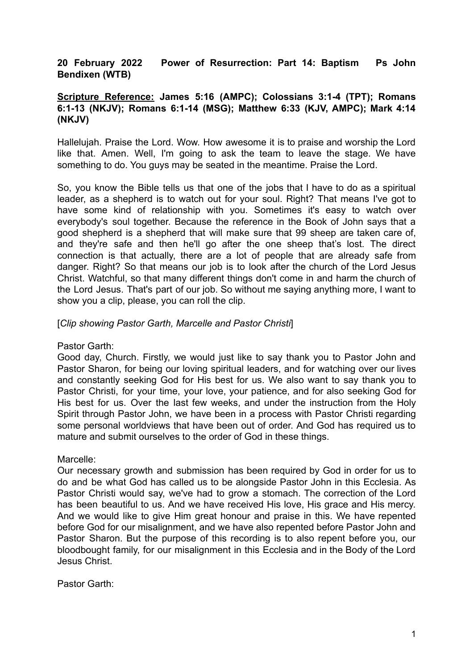## **20 February 2022 Power of Resurrection: Part 14: Baptism Ps John Bendixen (WTB)**

## **Scripture Reference: James 5:16 (AMPC); Colossians 3:1-4 (TPT); Romans 6:1-13 (NKJV); Romans 6:1-14 (MSG); Matthew 6:33 (KJV, AMPC); Mark 4:14 (NKJV)**

Hallelujah. Praise the Lord. Wow. How awesome it is to praise and worship the Lord like that. Amen. Well, I'm going to ask the team to leave the stage. We have something to do. You guys may be seated in the meantime. Praise the Lord.

So, you know the Bible tells us that one of the jobs that I have to do as a spiritual leader, as a shepherd is to watch out for your soul. Right? That means I've got to have some kind of relationship with you. Sometimes it's easy to watch over everybody's soul together. Because the reference in the Book of John says that a good shepherd is a shepherd that will make sure that 99 sheep are taken care of, and they're safe and then he'll go after the one sheep that's lost. The direct connection is that actually, there are a lot of people that are already safe from danger. Right? So that means our job is to look after the church of the Lord Jesus Christ. Watchful, so that many different things don't come in and harm the church of the Lord Jesus. That's part of our job. So without me saying anything more, I want to show you a clip, please, you can roll the clip.

## [*Clip showing Pastor Garth, Marcelle and Pastor Christi*]

Pastor Garth:

Good day, Church. Firstly, we would just like to say thank you to Pastor John and Pastor Sharon, for being our loving spiritual leaders, and for watching over our lives and constantly seeking God for His best for us. We also want to say thank you to Pastor Christi, for your time, your love, your patience, and for also seeking God for His best for us. Over the last few weeks, and under the instruction from the Holy Spirit through Pastor John, we have been in a process with Pastor Christi regarding some personal worldviews that have been out of order. And God has required us to mature and submit ourselves to the order of God in these things.

Marcelle:

Our necessary growth and submission has been required by God in order for us to do and be what God has called us to be alongside Pastor John in this Ecclesia. As Pastor Christi would say, we've had to grow a stomach. The correction of the Lord has been beautiful to us. And we have received His love, His grace and His mercy. And we would like to give Him great honour and praise in this. We have repented before God for our misalignment, and we have also repented before Pastor John and Pastor Sharon. But the purpose of this recording is to also repent before you, our bloodbought family, for our misalignment in this Ecclesia and in the Body of the Lord Jesus Christ.

Pastor Garth: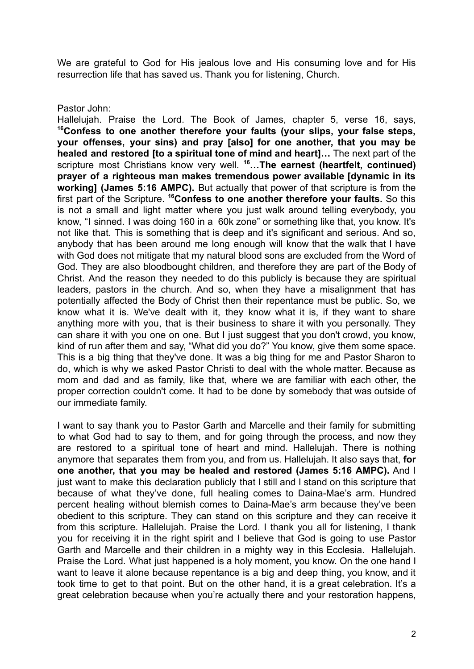We are grateful to God for His jealous love and His consuming love and for His resurrection life that has saved us. Thank you for listening, Church.

## Pastor John:

Hallelujah. Praise the Lord. The Book of James, chapter 5, verse 16, says, **<sup>16</sup>Confess to one another therefore your faults (your slips, your false steps, your offenses, your sins) and pray [also] for one another, that you may be healed and restored [to a spiritual tone of mind and heart]…** The next part of the scripture most Christians know very well. **<sup>16</sup>…The earnest (heartfelt, continued) prayer of a righteous man makes tremendous power available [dynamic in its working] (James 5:16 AMPC).** But actually that power of that scripture is from the first part of the Scripture. **<sup>16</sup>Confess to one another therefore your faults.** So this is not a small and light matter where you just walk around telling everybody, you know, "I sinned. I was doing 160 in a 60k zone" or something like that, you know. It's not like that. This is something that is deep and it's significant and serious. And so, anybody that has been around me long enough will know that the walk that I have with God does not mitigate that my natural blood sons are excluded from the Word of God. They are also bloodbought children, and therefore they are part of the Body of Christ. And the reason they needed to do this publicly is because they are spiritual leaders, pastors in the church. And so, when they have a misalignment that has potentially affected the Body of Christ then their repentance must be public. So, we know what it is. We've dealt with it, they know what it is, if they want to share anything more with you, that is their business to share it with you personally. They can share it with you one on one. But I just suggest that you don't crowd, you know, kind of run after them and say, "What did you do?" You know, give them some space. This is a big thing that they've done. It was a big thing for me and Pastor Sharon to do, which is why we asked Pastor Christi to deal with the whole matter. Because as mom and dad and as family, like that, where we are familiar with each other, the proper correction couldn't come. It had to be done by somebody that was outside of our immediate family.

I want to say thank you to Pastor Garth and Marcelle and their family for submitting to what God had to say to them, and for going through the process, and now they are restored to a spiritual tone of heart and mind. Hallelujah. There is nothing anymore that separates them from you, and from us. Hallelujah. It also says that, **for one another, that you may be healed and restored (James 5:16 AMPC).** And I just want to make this declaration publicly that I still and I stand on this scripture that because of what they've done, full healing comes to Daina-Mae's arm. Hundred percent healing without blemish comes to Daina-Mae's arm because they've been obedient to this scripture. They can stand on this scripture and they can receive it from this scripture. Hallelujah. Praise the Lord. I thank you all for listening, I thank you for receiving it in the right spirit and I believe that God is going to use Pastor Garth and Marcelle and their children in a mighty way in this Ecclesia. Hallelujah. Praise the Lord. What just happened is a holy moment, you know. On the one hand I want to leave it alone because repentance is a big and deep thing, you know, and it took time to get to that point. But on the other hand, it is a great celebration. It's a great celebration because when you're actually there and your restoration happens,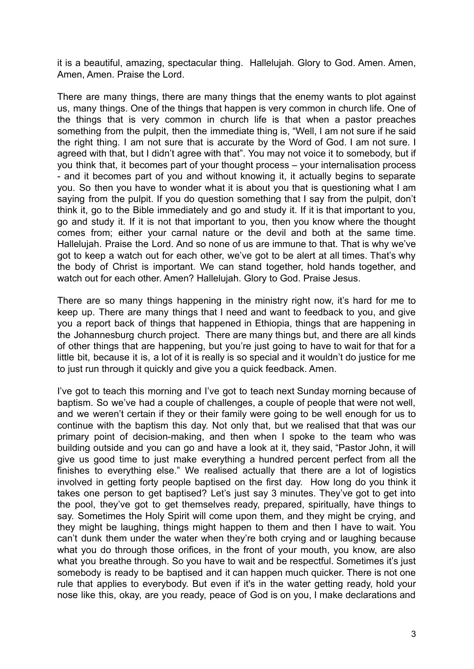it is a beautiful, amazing, spectacular thing. Hallelujah. Glory to God. Amen. Amen, Amen, Amen. Praise the Lord.

There are many things, there are many things that the enemy wants to plot against us, many things. One of the things that happen is very common in church life. One of the things that is very common in church life is that when a pastor preaches something from the pulpit, then the immediate thing is, "Well, I am not sure if he said the right thing. I am not sure that is accurate by the Word of God. I am not sure. I agreed with that, but I didn't agree with that". You may not voice it to somebody, but if you think that, it becomes part of your thought process – your internalisation process - and it becomes part of you and without knowing it, it actually begins to separate you. So then you have to wonder what it is about you that is questioning what I am saying from the pulpit. If you do question something that I say from the pulpit, don't think it, go to the Bible immediately and go and study it. If it is that important to you, go and study it. If it is not that important to you, then you know where the thought comes from; either your carnal nature or the devil and both at the same time. Hallelujah. Praise the Lord. And so none of us are immune to that. That is why we've got to keep a watch out for each other, we've got to be alert at all times. That's why the body of Christ is important. We can stand together, hold hands together, and watch out for each other. Amen? Hallelujah. Glory to God. Praise Jesus.

There are so many things happening in the ministry right now, it's hard for me to keep up. There are many things that I need and want to feedback to you, and give you a report back of things that happened in Ethiopia, things that are happening in the Johannesburg church project. There are many things but, and there are all kinds of other things that are happening, but you're just going to have to wait for that for a little bit, because it is, a lot of it is really is so special and it wouldn't do justice for me to just run through it quickly and give you a quick feedback. Amen.

I've got to teach this morning and I've got to teach next Sunday morning because of baptism. So we've had a couple of challenges, a couple of people that were not well, and we weren't certain if they or their family were going to be well enough for us to continue with the baptism this day. Not only that, but we realised that that was our primary point of decision-making, and then when I spoke to the team who was building outside and you can go and have a look at it, they said, "Pastor John, it will give us good time to just make everything a hundred percent perfect from all the finishes to everything else." We realised actually that there are a lot of logistics involved in getting forty people baptised on the first day. How long do you think it takes one person to get baptised? Let's just say 3 minutes. They've got to get into the pool, they've got to get themselves ready, prepared, spiritually, have things to say. Sometimes the Holy Spirit will come upon them, and they might be crying, and they might be laughing, things might happen to them and then I have to wait. You can't dunk them under the water when they're both crying and or laughing because what you do through those orifices, in the front of your mouth, you know, are also what you breathe through. So you have to wait and be respectful. Sometimes it's just somebody is ready to be baptised and it can happen much quicker. There is not one rule that applies to everybody. But even if it's in the water getting ready, hold your nose like this, okay, are you ready, peace of God is on you, I make declarations and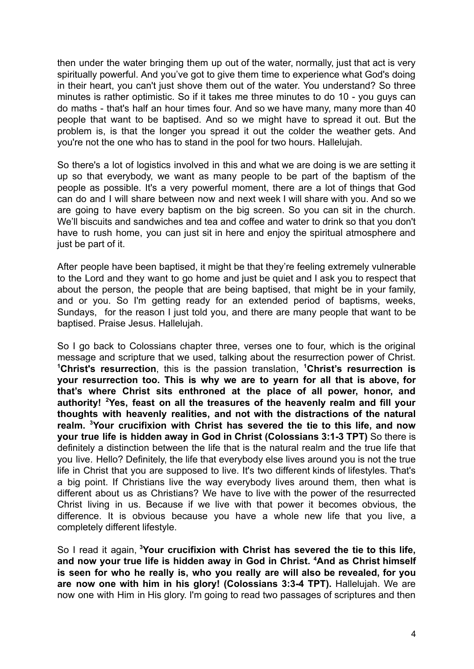then under the water bringing them up out of the water, normally, just that act is very spiritually powerful. And you've got to give them time to experience what God's doing in their heart, you can't just shove them out of the water. You understand? So three minutes is rather optimistic. So if it takes me three minutes to do 10 - you guys can do maths - that's half an hour times four. And so we have many, many more than 40 people that want to be baptised. And so we might have to spread it out. But the problem is, is that the longer you spread it out the colder the weather gets. And you're not the one who has to stand in the pool for two hours. Hallelujah.

So there's a lot of logistics involved in this and what we are doing is we are setting it up so that everybody, we want as many people to be part of the baptism of the people as possible. It's a very powerful moment, there are a lot of things that God can do and I will share between now and next week I will share with you. And so we are going to have every baptism on the big screen. So you can sit in the church. We'll biscuits and sandwiches and tea and coffee and water to drink so that you don't have to rush home, you can just sit in here and enjoy the spiritual atmosphere and just be part of it.

After people have been baptised, it might be that they're feeling extremely vulnerable to the Lord and they want to go home and just be quiet and I ask you to respect that about the person, the people that are being baptised, that might be in your family, and or you. So I'm getting ready for an extended period of baptisms, weeks, Sundays, for the reason I just told you, and there are many people that want to be baptised. Praise Jesus. Hallelujah.

So I go back to Colossians chapter three, verses one to four, which is the original message and scripture that we used, talking about the resurrection power of Christ. **<sup>1</sup>Christ's resurrection**, this is the passion translation, **<sup>1</sup>Christ's resurrection is your resurrection too. This is why we are to yearn for all that is above, for that's where Christ sits enthroned at the place of all power, honor, and authority! <sup>2</sup>Yes, feast on all the treasures of the heavenly realm and fill your thoughts with heavenly realities, and not with the distractions of the natural realm. <sup>3</sup>Your crucifixion with Christ has severed the tie to this life, and now your true life is hidden away in God in Christ (Colossians 3:1-3 TPT)** So there is definitely a distinction between the life that is the natural realm and the true life that you live. Hello? Definitely, the life that everybody else lives around you is not the true life in Christ that you are supposed to live. It's two different kinds of lifestyles. That's a big point. If Christians live the way everybody lives around them, then what is different about us as Christians? We have to live with the power of the resurrected Christ living in us. Because if we live with that power it becomes obvious, the difference. It is obvious because you have a whole new life that you live, a completely different lifestyle.

So I read it again, **<sup>3</sup>Your crucifixion with Christ has severed the tie to this life, and now your true life is hidden away in God in Christ. <sup>4</sup>And as Christ himself is seen for who he really is, who you really are will also be revealed, for you are now one with him in his glory! (Colossians 3:3-4 TPT).** Hallelujah. We are now one with Him in His glory. I'm going to read two passages of scriptures and then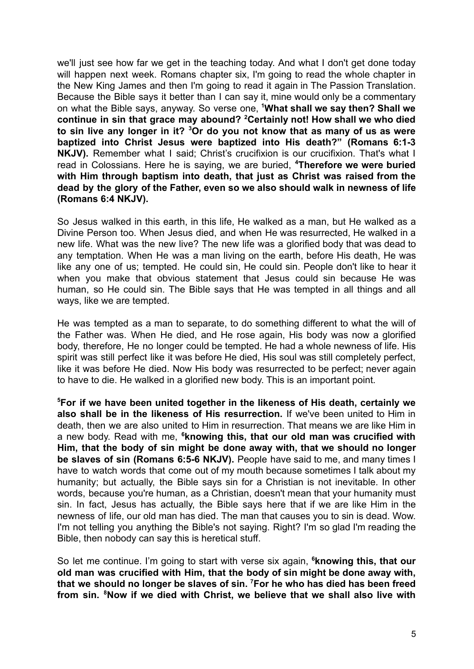we'll just see how far we get in the teaching today. And what I don't get done today will happen next week. Romans chapter six, I'm going to read the whole chapter in the New King James and then I'm going to read it again in The Passion Translation. Because the Bible says it better than I can say it, mine would only be a commentary on what the Bible says, anyway. So verse one, **<sup>1</sup>What shall we say then? Shall we continue in sin that grace may abound? <sup>2</sup>Certainly not! How shall we who died to sin live any longer in it? <sup>3</sup>Or do you not know that as many of us as were baptized into Christ Jesus were baptized into His death?" (Romans 6:1-3 NKJV).** Remember what I said; Christ's crucifixion is our crucifixion. That's what I read in Colossians. Here he is saying, we are buried, **<sup>4</sup>Therefore we were buried with Him through baptism into death, that just as Christ was raised from the dead by the glory of the Father, even so we also should walk in newness of life (Romans 6:4 NKJV).**

So Jesus walked in this earth, in this life, He walked as a man, but He walked as a Divine Person too. When Jesus died, and when He was resurrected, He walked in a new life. What was the new live? The new life was a glorified body that was dead to any temptation. When He was a man living on the earth, before His death, He was like any one of us; tempted. He could sin, He could sin. People don't like to hear it when you make that obvious statement that Jesus could sin because He was human, so He could sin. The Bible says that He was tempted in all things and all ways, like we are tempted.

He was tempted as a man to separate, to do something different to what the will of the Father was. When He died, and He rose again, His body was now a glorified body, therefore, He no longer could be tempted. He had a whole newness of life. His spirit was still perfect like it was before He died, His soul was still completely perfect, like it was before He died. Now His body was resurrected to be perfect; never again to have to die. He walked in a glorified new body. This is an important point.

**<sup>5</sup>For if we have been united together in the likeness of His death, certainly we also shall be in the likeness of His resurrection.** If we've been united to Him in death, then we are also united to Him in resurrection. That means we are like Him in a new body. Read with me, **<sup>6</sup>knowing this, that our old man was crucified with Him, that the body of sin might be done away with, that we should no longer be slaves of sin (Romans 6:5-6 NKJV).** People have said to me, and many times I have to watch words that come out of my mouth because sometimes I talk about my humanity; but actually, the Bible says sin for a Christian is not inevitable. In other words, because you're human, as a Christian, doesn't mean that your humanity must sin. In fact, Jesus has actually, the Bible says here that if we are like Him in the newness of life, our old man has died. The man that causes you to sin is dead. Wow. I'm not telling you anything the Bible's not saying. Right? I'm so glad I'm reading the Bible, then nobody can say this is heretical stuff.

So let me continue. I'm going to start with verse six again, **<sup>6</sup>knowing this, that our old man was crucified with Him, that the body of sin might be done away with, that we should no longer be slaves of sin. <sup>7</sup>For he who has died has been freed from sin. <sup>8</sup>Now if we died with Christ, we believe that we shall also live with**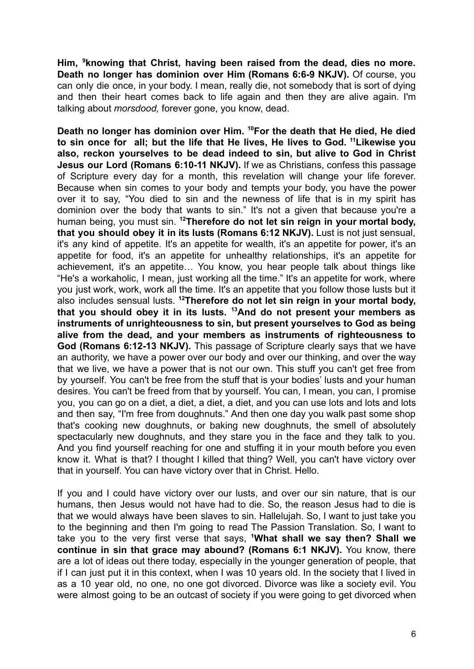**Him, <sup>9</sup>knowing that Christ, having been raised from the dead, dies no more. Death no longer has dominion over Him (Romans 6:6-9 NKJV).** Of course, you can only die once, in your body. I mean, really die, not somebody that is sort of dying and then their heart comes back to life again and then they are alive again. I'm talking about *morsdood,* forever gone, you know, dead.

**Death no longer has dominion over Him. <sup>10</sup>For the death that He died, He died to sin once for all; but the life that He lives, He lives to God. <sup>11</sup>Likewise you also, reckon yourselves to be dead indeed to sin, but alive to God in Christ Jesus our Lord (Romans 6:10-11 NKJV).** If we as Christians, confess this passage of Scripture every day for a month, this revelation will change your life forever. Because when sin comes to your body and tempts your body, you have the power over it to say, "You died to sin and the newness of life that is in my spirit has dominion over the body that wants to sin." It's not a given that because you're a human being, you must sin. **<sup>12</sup>Therefore do not let sin reign in your mortal body, that you should obey it in its lusts (Romans 6:12 NKJV).** Lust is not just sensual, it's any kind of appetite. It's an appetite for wealth, it's an appetite for power, it's an appetite for food, it's an appetite for unhealthy relationships, it's an appetite for achievement, it's an appetite… You know, you hear people talk about things like "He's a workaholic, I mean, just working all the time." It's an appetite for work, where you just work, work, work all the time. It's an appetite that you follow those lusts but it also includes sensual lusts. **<sup>12</sup>Therefore do not let sin reign in your mortal body, that you should obey it in its lusts. <sup>13</sup>And do not present your members as instruments of unrighteousness to sin, but present yourselves to God as being alive from the dead, and your members as instruments of righteousness to God (Romans 6:12-13 NKJV).** This passage of Scripture clearly says that we have an authority, we have a power over our body and over our thinking, and over the way that we live, we have a power that is not our own. This stuff you can't get free from by yourself. You can't be free from the stuff that is your bodies' lusts and your human desires. You can't be freed from that by yourself. You can, I mean, you can, I promise you, you can go on a diet, a diet, a diet, a diet, and you can use lots and lots and lots and then say, "I'm free from doughnuts." And then one day you walk past some shop that's cooking new doughnuts, or baking new doughnuts, the smell of absolutely spectacularly new doughnuts, and they stare you in the face and they talk to you. And you find yourself reaching for one and stuffing it in your mouth before you even know it. What is that? I thought I killed that thing? Well, you can't have victory over that in yourself. You can have victory over that in Christ. Hello.

If you and I could have victory over our lusts, and over our sin nature, that is our humans, then Jesus would not have had to die. So, the reason Jesus had to die is that we would always have been slaves to sin. Hallelujah. So, I want to just take you to the beginning and then I'm going to read The Passion Translation. So, I want to take you to the very first verse that says, **<sup>1</sup>What shall we say then? Shall we continue in sin that grace may abound? (Romans 6:1 NKJV).** You know, there are a lot of ideas out there today, especially in the younger generation of people, that if I can just put it in this context, when I was 10 years old. In the society that I lived in as a 10 year old, no one, no one got divorced. Divorce was like a society evil. You were almost going to be an outcast of society if you were going to get divorced when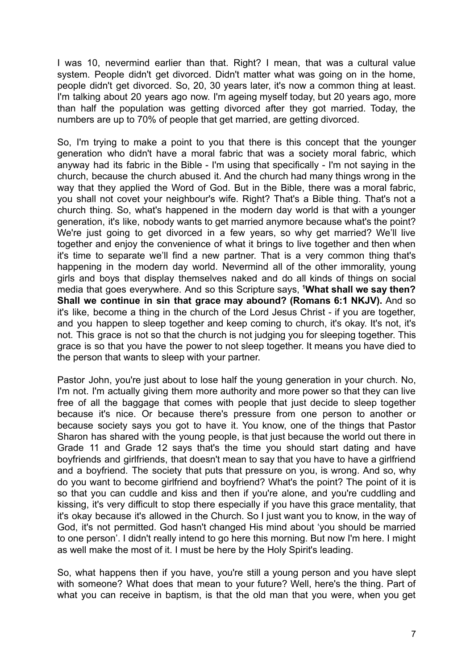I was 10, nevermind earlier than that. Right? I mean, that was a cultural value system. People didn't get divorced. Didn't matter what was going on in the home, people didn't get divorced. So, 20, 30 years later, it's now a common thing at least. I'm talking about 20 years ago now. I'm ageing myself today, but 20 years ago, more than half the population was getting divorced after they got married. Today, the numbers are up to 70% of people that get married, are getting divorced.

So, I'm trying to make a point to you that there is this concept that the younger generation who didn't have a moral fabric that was a society moral fabric, which anyway had its fabric in the Bible - I'm using that specifically - I'm not saying in the church, because the church abused it. And the church had many things wrong in the way that they applied the Word of God. But in the Bible, there was a moral fabric, you shall not covet your neighbour's wife. Right? That's a Bible thing. That's not a church thing. So, what's happened in the modern day world is that with a younger generation, it's like, nobody wants to get married anymore because what's the point? We're just going to get divorced in a few years, so why get married? We'll live together and enjoy the convenience of what it brings to live together and then when it's time to separate we'll find a new partner. That is a very common thing that's happening in the modern day world. Nevermind all of the other immorality, young girls and boys that display themselves naked and do all kinds of things on social media that goes everywhere. And so this Scripture says, **<sup>1</sup>What shall we say then? Shall we continue in sin that grace may abound? (Romans 6:1 NKJV).** And so it's like, become a thing in the church of the Lord Jesus Christ - if you are together, and you happen to sleep together and keep coming to church, it's okay. It's not, it's not. This grace is not so that the church is not judging you for sleeping together. This grace is so that you have the power to not sleep together. It means you have died to the person that wants to sleep with your partner.

Pastor John, you're just about to lose half the young generation in your church. No, I'm not. I'm actually giving them more authority and more power so that they can live free of all the baggage that comes with people that just decide to sleep together because it's nice. Or because there's pressure from one person to another or because society says you got to have it. You know, one of the things that Pastor Sharon has shared with the young people, is that just because the world out there in Grade 11 and Grade 12 says that's the time you should start dating and have boyfriends and girlfriends, that doesn't mean to say that you have to have a girlfriend and a boyfriend. The society that puts that pressure on you, is wrong. And so, why do you want to become girlfriend and boyfriend? What's the point? The point of it is so that you can cuddle and kiss and then if you're alone, and you're cuddling and kissing, it's very difficult to stop there especially if you have this grace mentality, that it's okay because it's allowed in the Church. So I just want you to know, in the way of God, it's not permitted. God hasn't changed His mind about 'you should be married to one person'. I didn't really intend to go here this morning. But now I'm here. I might as well make the most of it. I must be here by the Holy Spirit's leading.

So, what happens then if you have, you're still a young person and you have slept with someone? What does that mean to your future? Well, here's the thing. Part of what you can receive in baptism, is that the old man that you were, when you get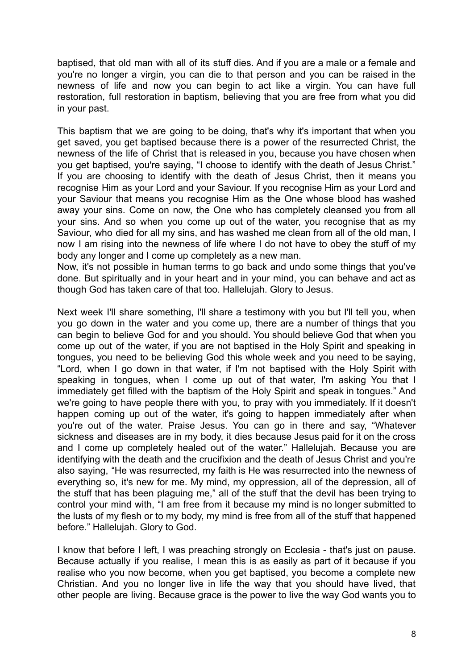baptised, that old man with all of its stuff dies. And if you are a male or a female and you're no longer a virgin, you can die to that person and you can be raised in the newness of life and now you can begin to act like a virgin. You can have full restoration, full restoration in baptism, believing that you are free from what you did in your past.

This baptism that we are going to be doing, that's why it's important that when you get saved, you get baptised because there is a power of the resurrected Christ, the newness of the life of Christ that is released in you, because you have chosen when you get baptised, you're saying, "I choose to identify with the death of Jesus Christ." If you are choosing to identify with the death of Jesus Christ, then it means you recognise Him as your Lord and your Saviour. If you recognise Him as your Lord and your Saviour that means you recognise Him as the One whose blood has washed away your sins. Come on now, the One who has completely cleansed you from all your sins. And so when you come up out of the water, you recognise that as my Saviour, who died for all my sins, and has washed me clean from all of the old man, I now I am rising into the newness of life where I do not have to obey the stuff of my body any longer and I come up completely as a new man.

Now, it's not possible in human terms to go back and undo some things that you've done. But spiritually and in your heart and in your mind, you can behave and act as though God has taken care of that too. Hallelujah. Glory to Jesus.

Next week I'll share something, I'll share a testimony with you but I'll tell you, when you go down in the water and you come up, there are a number of things that you can begin to believe God for and you should. You should believe God that when you come up out of the water, if you are not baptised in the Holy Spirit and speaking in tongues, you need to be believing God this whole week and you need to be saying, "Lord, when I go down in that water, if I'm not baptised with the Holy Spirit with speaking in tongues, when I come up out of that water, I'm asking You that I immediately get filled with the baptism of the Holy Spirit and speak in tongues." And we're going to have people there with you, to pray with you immediately. If it doesn't happen coming up out of the water, it's going to happen immediately after when you're out of the water. Praise Jesus. You can go in there and say, "Whatever sickness and diseases are in my body, it dies because Jesus paid for it on the cross and I come up completely healed out of the water." Hallelujah. Because you are identifying with the death and the crucifixion and the death of Jesus Christ and you're also saying, "He was resurrected, my faith is He was resurrected into the newness of everything so, it's new for me. My mind, my oppression, all of the depression, all of the stuff that has been plaguing me," all of the stuff that the devil has been trying to control your mind with, "I am free from it because my mind is no longer submitted to the lusts of my flesh or to my body, my mind is free from all of the stuff that happened before." Hallelujah. Glory to God.

I know that before I left, I was preaching strongly on Ecclesia - that's just on pause. Because actually if you realise, I mean this is as easily as part of it because if you realise who you now become, when you get baptised, you become a complete new Christian. And you no longer live in life the way that you should have lived, that other people are living. Because grace is the power to live the way God wants you to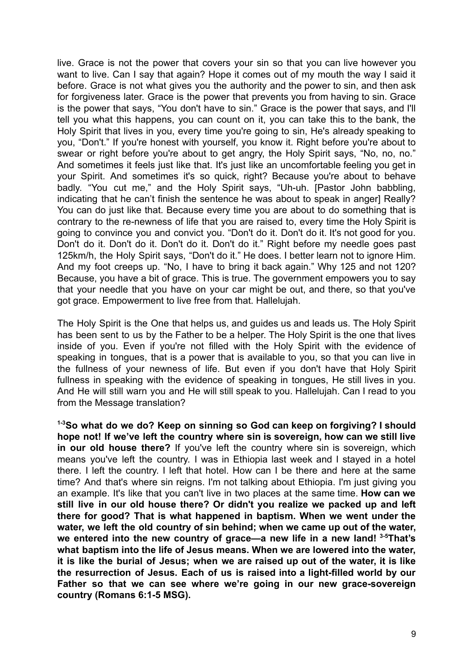live. Grace is not the power that covers your sin so that you can live however you want to live. Can I say that again? Hope it comes out of my mouth the way I said it before. Grace is not what gives you the authority and the power to sin, and then ask for forgiveness later. Grace is the power that prevents you from having to sin. Grace is the power that says, "You don't have to sin." Grace is the power that says, and I'll tell you what this happens, you can count on it, you can take this to the bank, the Holy Spirit that lives in you, every time you're going to sin, He's already speaking to you, "Don't." If you're honest with yourself, you know it. Right before you're about to swear or right before you're about to get angry, the Holy Spirit says, "No, no, no." And sometimes it feels just like that. It's just like an uncomfortable feeling you get in your Spirit. And sometimes it's so quick, right? Because you're about to behave badly. "You cut me," and the Holy Spirit says, "Uh-uh. [Pastor John babbling, indicating that he can't finish the sentence he was about to speak in anger] Really? You can do just like that. Because every time you are about to do something that is contrary to the re-newness of life that you are raised to, every time the Holy Spirit is going to convince you and convict you. "Don't do it. Don't do it. It's not good for you. Don't do it. Don't do it. Don't do it. Don't do it." Right before my needle goes past 125km/h, the Holy Spirit says, "Don't do it." He does. I better learn not to ignore Him. And my foot creeps up. "No, I have to bring it back again." Why 125 and not 120? Because, you have a bit of grace. This is true. The government empowers you to say that your needle that you have on your car might be out, and there, so that you've got grace. Empowerment to live free from that. Hallelujah.

The Holy Spirit is the One that helps us, and guides us and leads us. The Holy Spirit has been sent to us by the Father to be a helper. The Holy Spirit is the one that lives inside of you. Even if you're not filled with the Holy Spirit with the evidence of speaking in tongues, that is a power that is available to you, so that you can live in the fullness of your newness of life. But even if you don't have that Holy Spirit fullness in speaking with the evidence of speaking in tongues, He still lives in you. And He will still warn you and He will still speak to you. Hallelujah. Can I read to you from the Message translation?

**1-3So what do we do? Keep on sinning so God can keep on forgiving? I should hope not! If we've left the country where sin is sovereign, how can we still live in our old house there?** If you've left the country where sin is sovereign, which means you've left the country. I was in Ethiopia last week and I stayed in a hotel there. I left the country. I left that hotel. How can I be there and here at the same time? And that's where sin reigns. I'm not talking about Ethiopia. I'm just giving you an example. It's like that you can't live in two places at the same time. **How can we still live in our old house there? Or didn't you realize we packed up and left there for good? That is what happened in baptism. When we went under the water, we left the old country of sin behind; when we came up out of the water, we entered into the new country of grace—a new life in a new land! 3-5That's what baptism into the life of Jesus means. When we are lowered into the water, it is like the burial of Jesus; when we are raised up out of the water, it is like the resurrection of Jesus. Each of us is raised into a light-filled world by our Father so that we can see where we're going in our new grace-sovereign country (Romans 6:1-5 MSG).**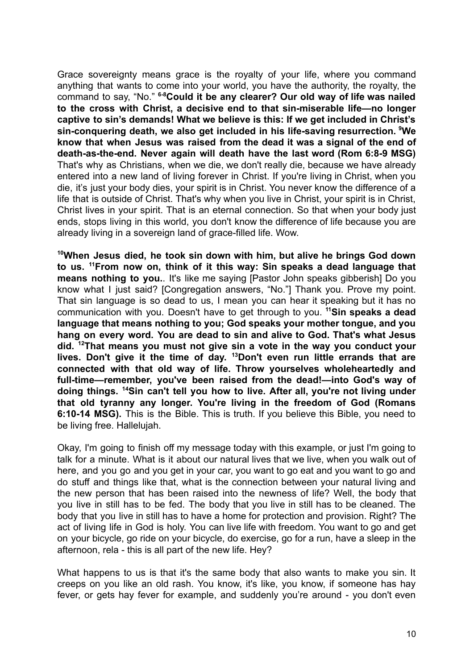Grace sovereignty means grace is the royalty of your life, where you command anything that wants to come into your world, you have the authority, the royalty, the command to say, "No." **6-8Could it be any clearer? Our old way of life was nailed to the cross with Christ, a decisive end to that sin-miserable life—no longer captive to sin's demands! What we believe is this: If we get included in Christ's sin-conquering death, we also get included in his life-saving resurrection. <sup>9</sup>We know that when Jesus was raised from the dead it was a signal of the end of death-as-the-end. Never again will death have the last word (Rom 6:8-9 MSG)** That's why as Christians, when we die, we don't really die, because we have already entered into a new land of living forever in Christ. If you're living in Christ, when you die, it's just your body dies, your spirit is in Christ. You never know the difference of a life that is outside of Christ. That's why when you live in Christ, your spirit is in Christ, Christ lives in your spirit. That is an eternal connection. So that when your body just ends, stops living in this world, you don't know the difference of life because you are already living in a sovereign land of grace-filled life. Wow.

**<sup>10</sup>When Jesus died, he took sin down with him, but alive he brings God down to us. <sup>11</sup>From now on, think of it this way: Sin speaks a dead language that means nothing to you.**. It's like me saying [Pastor John speaks gibberish] Do you know what I just said? [Congregation answers, "No."] Thank you. Prove my point. That sin language is so dead to us, I mean you can hear it speaking but it has no communication with you. Doesn't have to get through to you. **<sup>11</sup>Sin speaks a dead language that means nothing to you; God speaks your mother tongue, and you hang on every word. You are dead to sin and alive to God. That's what Jesus did. <sup>12</sup>That means you must not give sin a vote in the way you conduct your lives. Don't give it the time of day. <sup>13</sup>Don't even run little errands that are connected with that old way of life. Throw yourselves wholeheartedly and full-time—remember, you've been raised from the dead!—into God's way of doing things. <sup>14</sup>Sin can't tell you how to live. After all, you're not living under that old tyranny any longer. You're living in the freedom of God (Romans 6:10-14 MSG).** This is the Bible. This is truth. If you believe this Bible, you need to be living free. Hallelujah.

Okay, I'm going to finish off my message today with this example, or just I'm going to talk for a minute. What is it about our natural lives that we live, when you walk out of here, and you go and you get in your car, you want to go eat and you want to go and do stuff and things like that, what is the connection between your natural living and the new person that has been raised into the newness of life? Well, the body that you live in still has to be fed. The body that you live in still has to be cleaned. The body that you live in still has to have a home for protection and provision. Right? The act of living life in God is holy. You can live life with freedom. You want to go and get on your bicycle, go ride on your bicycle, do exercise, go for a run, have a sleep in the afternoon, rela - this is all part of the new life. Hey?

What happens to us is that it's the same body that also wants to make you sin. It creeps on you like an old rash. You know, it's like, you know, if someone has hay fever, or gets hay fever for example, and suddenly you're around - you don't even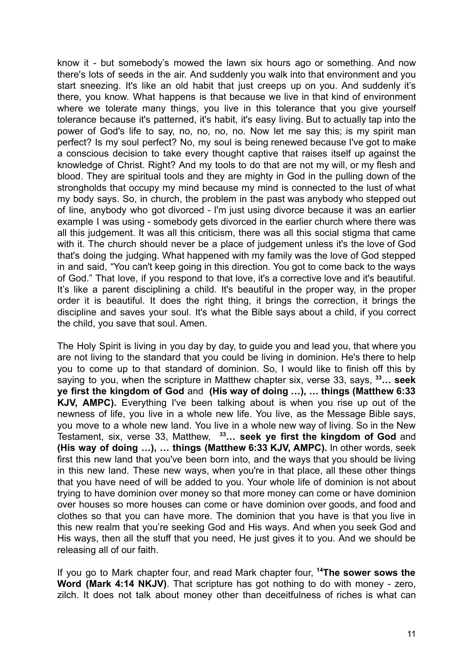know it - but somebody's mowed the lawn six hours ago or something. And now there's lots of seeds in the air. And suddenly you walk into that environment and you start sneezing. It's like an old habit that just creeps up on you. And suddenly it's there, you know. What happens is that because we live in that kind of environment where we tolerate many things, you live in this tolerance that you give yourself tolerance because it's patterned, it's habit, it's easy living. But to actually tap into the power of God's life to say, no, no, no, no. Now let me say this; is my spirit man perfect? Is my soul perfect? No, my soul is being renewed because I've got to make a conscious decision to take every thought captive that raises itself up against the knowledge of Christ. Right? And my tools to do that are not my will, or my flesh and blood. They are spiritual tools and they are mighty in God in the pulling down of the strongholds that occupy my mind because my mind is connected to the lust of what my body says. So, in church, the problem in the past was anybody who stepped out of line, anybody who got divorced - I'm just using divorce because it was an earlier example I was using - somebody gets divorced in the earlier church where there was all this judgement. It was all this criticism, there was all this social stigma that came with it. The church should never be a place of judgement unless it's the love of God that's doing the judging. What happened with my family was the love of God stepped in and said, "You can't keep going in this direction. You got to come back to the ways of God." That love, if you respond to that love, it's a corrective love and it's beautiful. It's like a parent disciplining a child. It's beautiful in the proper way, in the proper order it is beautiful. It does the right thing, it brings the correction, it brings the discipline and saves your soul. It's what the Bible says about a child, if you correct the child, you save that soul. Amen.

The Holy Spirit is living in you day by day, to guide you and lead you, that where you are not living to the standard that you could be living in dominion. He's there to help you to come up to that standard of dominion. So, I would like to finish off this by saying to you, when the scripture in Matthew chapter six, verse 33, says, **<sup>33</sup>… seek ye first the kingdom of God** and **(His way of doing …), … things (Matthew 6:33 KJV, AMPC).** Everything I've been talking about is when you rise up out of the newness of life, you live in a whole new life. You live, as the Message Bible says, you move to a whole new land. You live in a whole new way of living. So in the New Testament, six, verse 33, Matthew, **<sup>33</sup>… seek ye first the kingdom of God** and **(His way of doing …), … things (Matthew 6:33 KJV, AMPC).** In other words, seek first this new land that you've been born into, and the ways that you should be living in this new land. These new ways, when you're in that place, all these other things that you have need of will be added to you. Your whole life of dominion is not about trying to have dominion over money so that more money can come or have dominion over houses so more houses can come or have dominion over goods, and food and clothes so that you can have more. The dominion that you have is that you live in this new realm that you're seeking God and His ways. And when you seek God and His ways, then all the stuff that you need, He just gives it to you. And we should be releasing all of our faith.

If you go to Mark chapter four, and read Mark chapter four, **<sup>14</sup>The sower sows the Word (Mark 4:14 NKJV)**. That scripture has got nothing to do with money - zero, zilch. It does not talk about money other than deceitfulness of riches is what can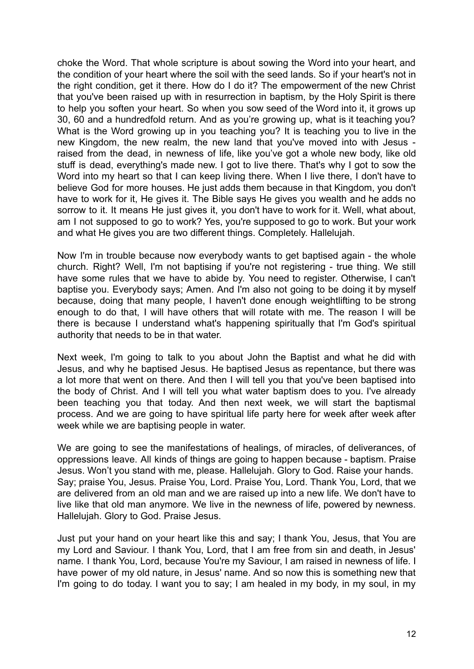choke the Word. That whole scripture is about sowing the Word into your heart, and the condition of your heart where the soil with the seed lands. So if your heart's not in the right condition, get it there. How do I do it? The empowerment of the new Christ that you've been raised up with in resurrection in baptism, by the Holy Spirit is there to help you soften your heart. So when you sow seed of the Word into it, it grows up 30, 60 and a hundredfold return. And as you're growing up, what is it teaching you? What is the Word growing up in you teaching you? It is teaching you to live in the new Kingdom, the new realm, the new land that you've moved into with Jesus raised from the dead, in newness of life, like you've got a whole new body, like old stuff is dead, everything's made new. I got to live there. That's why I got to sow the Word into my heart so that I can keep living there. When I live there, I don't have to believe God for more houses. He just adds them because in that Kingdom, you don't have to work for it, He gives it. The Bible says He gives you wealth and he adds no sorrow to it. It means He just gives it, you don't have to work for it. Well, what about, am I not supposed to go to work? Yes, you're supposed to go to work. But your work and what He gives you are two different things. Completely. Hallelujah.

Now I'm in trouble because now everybody wants to get baptised again - the whole church. Right? Well, I'm not baptising if you're not registering - true thing. We still have some rules that we have to abide by. You need to register. Otherwise, I can't baptise you. Everybody says; Amen. And I'm also not going to be doing it by myself because, doing that many people, I haven't done enough weightlifting to be strong enough to do that, I will have others that will rotate with me. The reason I will be there is because I understand what's happening spiritually that I'm God's spiritual authority that needs to be in that water.

Next week, I'm going to talk to you about John the Baptist and what he did with Jesus, and why he baptised Jesus. He baptised Jesus as repentance, but there was a lot more that went on there. And then I will tell you that you've been baptised into the body of Christ. And I will tell you what water baptism does to you. I've already been teaching you that today. And then next week, we will start the baptismal process. And we are going to have spiritual life party here for week after week after week while we are baptising people in water.

We are going to see the manifestations of healings, of miracles, of deliverances, of oppressions leave. All kinds of things are going to happen because - baptism. Praise Jesus. Won't you stand with me, please. Hallelujah. Glory to God. Raise your hands. Say; praise You, Jesus. Praise You, Lord. Praise You, Lord. Thank You, Lord, that we are delivered from an old man and we are raised up into a new life. We don't have to live like that old man anymore. We live in the newness of life, powered by newness. Hallelujah. Glory to God. Praise Jesus.

Just put your hand on your heart like this and say; I thank You, Jesus, that You are my Lord and Saviour. I thank You, Lord, that I am free from sin and death, in Jesus' name. I thank You, Lord, because You're my Saviour, I am raised in newness of life. I have power of my old nature, in Jesus' name. And so now this is something new that I'm going to do today. I want you to say; I am healed in my body, in my soul, in my